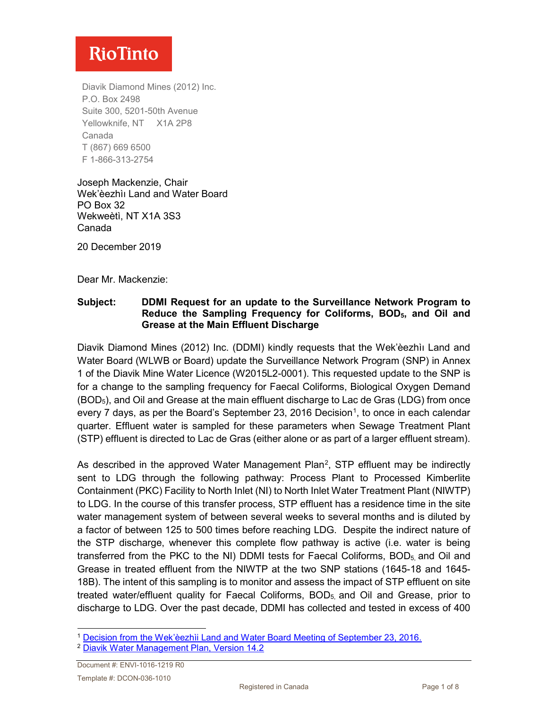Diavik Diamond Mines (2012) Inc. P.O. Box 2498 Suite 300, 5201-50th Avenue Yellowknife, NT X1A 2P8 Canada T (867) 669 6500 F 1-866-313-2754

Joseph Mackenzie, Chair Wek'èezhìı Land and Water Board PO Box 32 Wekweètì, NT X1A 3S3 Canada

20 December 2019

Dear Mr. Mackenzie:

#### **Subject: DDMI Request for an update to the Surveillance Network Program to Reduce the Sampling Frequency for Coliforms, BOD5, and Oil and Grease at the Main Effluent Discharge**

Diavik Diamond Mines (2012) Inc. (DDMI) kindly requests that the Wek'èezhìı Land and Water Board (WLWB or Board) update the Surveillance Network Program (SNP) in Annex 1 of the Diavik Mine Water Licence (W2015L2-0001). This requested update to the SNP is for a change to the sampling frequency for Faecal Coliforms, Biological Oxygen Demand (BOD5), and Oil and Grease at the main effluent discharge to Lac de Gras (LDG) from once every 7 days, as per the Board's September 23, 20[1](#page-0-0)6 Decision<sup>1</sup>, to once in each calendar quarter. Effluent water is sampled for these parameters when Sewage Treatment Plant (STP) effluent is directed to Lac de Gras (either alone or as part of a larger effluent stream).

As described in the approved Water Management Plan<sup>[2](#page-0-1)</sup>, STP effluent may be indirectly sent to LDG through the following pathway: Process Plant to Processed Kimberlite Containment (PKC) Facility to North Inlet (NI) to North Inlet Water Treatment Plant (NIWTP) to LDG. In the course of this transfer process, STP effluent has a residence time in the site water management system of between several weeks to several months and is diluted by a factor of between 125 to 500 times before reaching LDG. Despite the indirect nature of the STP discharge, whenever this complete flow pathway is active (i.e. water is being transferred from the PKC to the NI) DDMI tests for Faecal Coliforms,  $BOD<sub>5</sub>$  and Oil and Grease in treated effluent from the NIWTP at the two SNP stations (1645-18 and 1645- 18B). The intent of this sampling is to monitor and assess the impact of STP effluent on site treated water/effluent quality for Faecal Coliforms, BOD<sub>5</sub> and Oil and Grease, prior to discharge to LDG. Over the past decade, DDMI has collected and tested in excess of 400

<span id="page-0-0"></span> <sup>1</sup> [Decision from the Wek'èezhìi Land and Water Board Meeting of September 23, 2016.](http://registry.mvlwb.ca/Documents/W2015L2-0001/Diavik%20-%20SNP%20Amendment%20Request%20-%20Directive%20and%20Reasons%20for%20Decision%20-%20Oct%2012_16.pdf)

<span id="page-0-1"></span><sup>2</sup> [Diavik Water Management Plan, Version 14.2](http://registry.mvlwb.ca/Documents/W2015L2-0001/Diavik%20-%20Water%20Management%20Plan%20-%20Version%2014.2%20-%20Jul%205_18.pdf)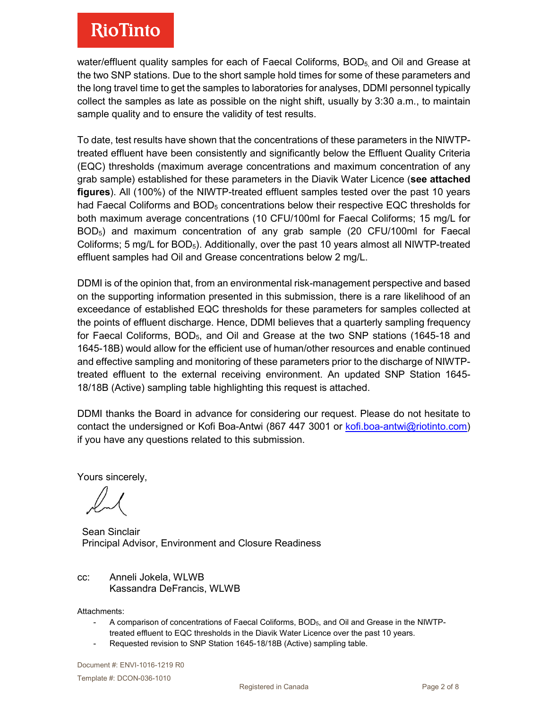water/effluent quality samples for each of Faecal Coliforms,  $BOD<sub>5</sub>$  and Oil and Grease at the two SNP stations. Due to the short sample hold times for some of these parameters and the long travel time to get the samples to laboratories for analyses, DDMI personnel typically collect the samples as late as possible on the night shift, usually by 3:30 a.m., to maintain sample quality and to ensure the validity of test results.

To date, test results have shown that the concentrations of these parameters in the NIWTPtreated effluent have been consistently and significantly below the Effluent Quality Criteria (EQC) thresholds (maximum average concentrations and maximum concentration of any grab sample) established for these parameters in the Diavik Water Licence (**see attached figures**). All (100%) of the NIWTP-treated effluent samples tested over the past 10 years had Faecal Coliforms and  $BOD<sub>5</sub>$  concentrations below their respective EQC thresholds for both maximum average concentrations (10 CFU/100ml for Faecal Coliforms; 15 mg/L for BOD5) and maximum concentration of any grab sample (20 CFU/100ml for Faecal Coliforms; 5 mg/L for  $BOD_5$ ). Additionally, over the past 10 years almost all NIWTP-treated effluent samples had Oil and Grease concentrations below 2 mg/L.

DDMI is of the opinion that, from an environmental risk-management perspective and based on the supporting information presented in this submission, there is a rare likelihood of an exceedance of established EQC thresholds for these parameters for samples collected at the points of effluent discharge. Hence, DDMI believes that a quarterly sampling frequency for Faecal Coliforms,  $BOD<sub>5</sub>$ , and Oil and Grease at the two SNP stations (1645-18 and 1645-18B) would allow for the efficient use of human/other resources and enable continued and effective sampling and monitoring of these parameters prior to the discharge of NIWTPtreated effluent to the external receiving environment. An updated SNP Station 1645- 18/18B (Active) sampling table highlighting this request is attached.

DDMI thanks the Board in advance for considering our request. Please do not hesitate to contact the undersigned or Kofi Boa-Antwi (867 447 3001 or [kofi.boa-antwi@riotinto.com\)](mailto:kofi.boa-antwi@riotinto.com) if you have any questions related to this submission.

Yours sincerely,

Sean Sinclair Principal Advisor, Environment and Closure Readiness

#### cc: Anneli Jokela, WLWB Kassandra DeFrancis, WLWB

Attachments:

- A comparison of concentrations of Faecal Coliforms, BOD5, and Oil and Grease in the NIWTPtreated effluent to EQC thresholds in the Diavik Water Licence over the past 10 years.
- Requested revision to SNP Station 1645-18/18B (Active) sampling table.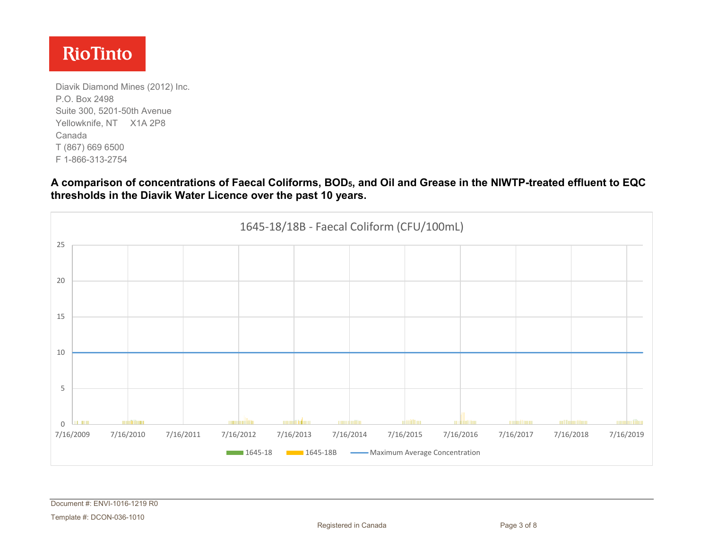Diavik Diamond Mines (2012) Inc. P.O. Box 2498 Suite 300, 5201-50th Avenue Yellowknife, NT X1A 2P8 Canada T (867) 669 6500 F 1-866-313-2754

**A comparison of concentrations of Faecal Coliforms, BOD5, and Oil and Grease in the NIWTP-treated effluent to EQC thresholds in the Diavik Water Licence over the past 10 years.**

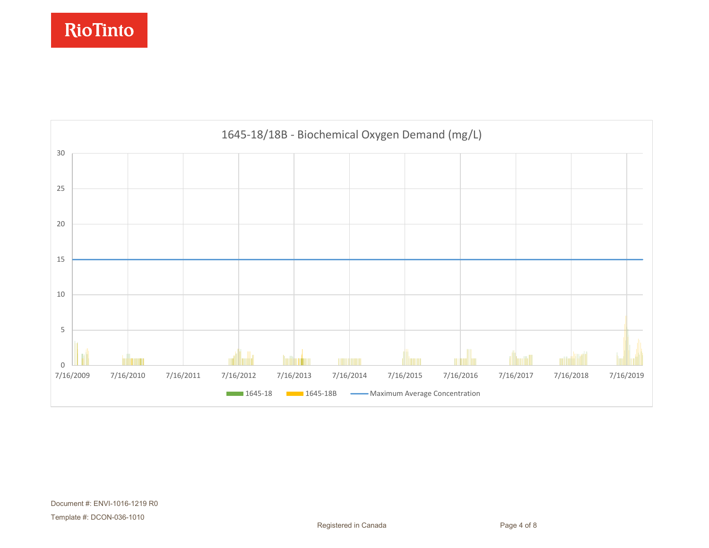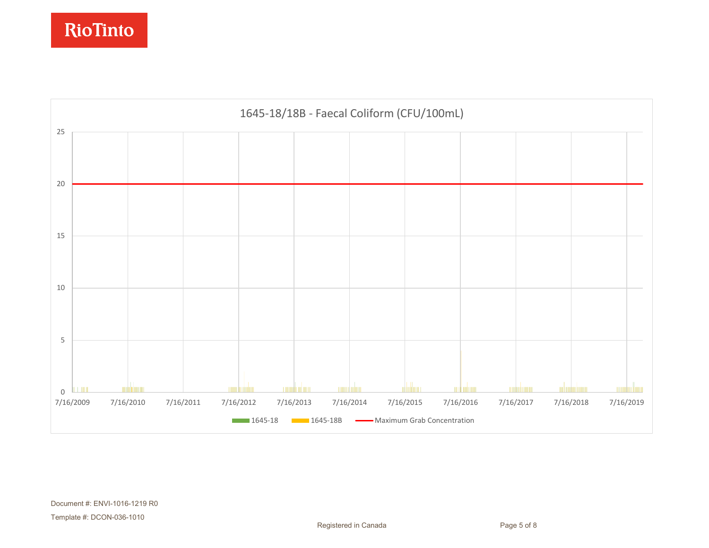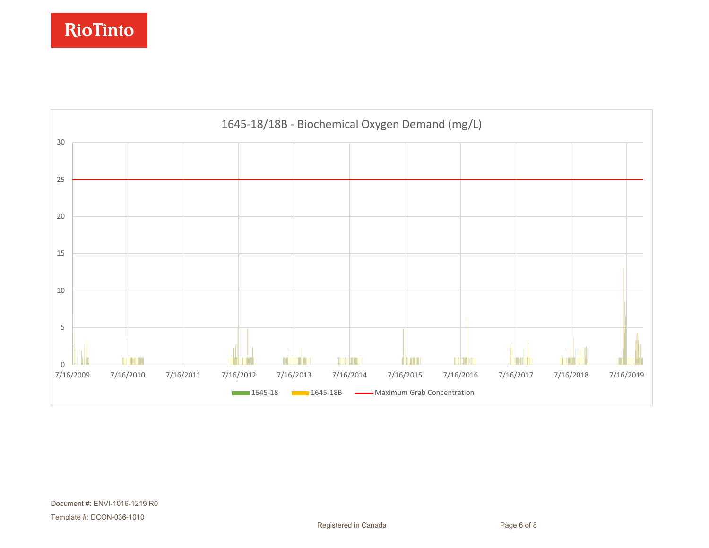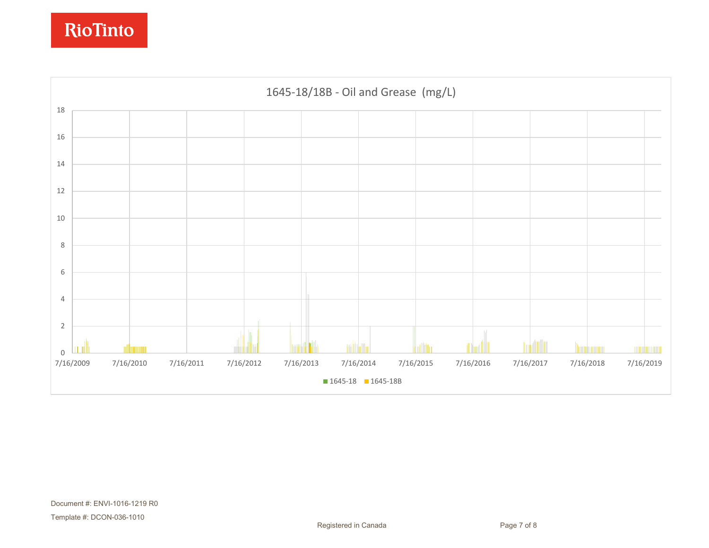